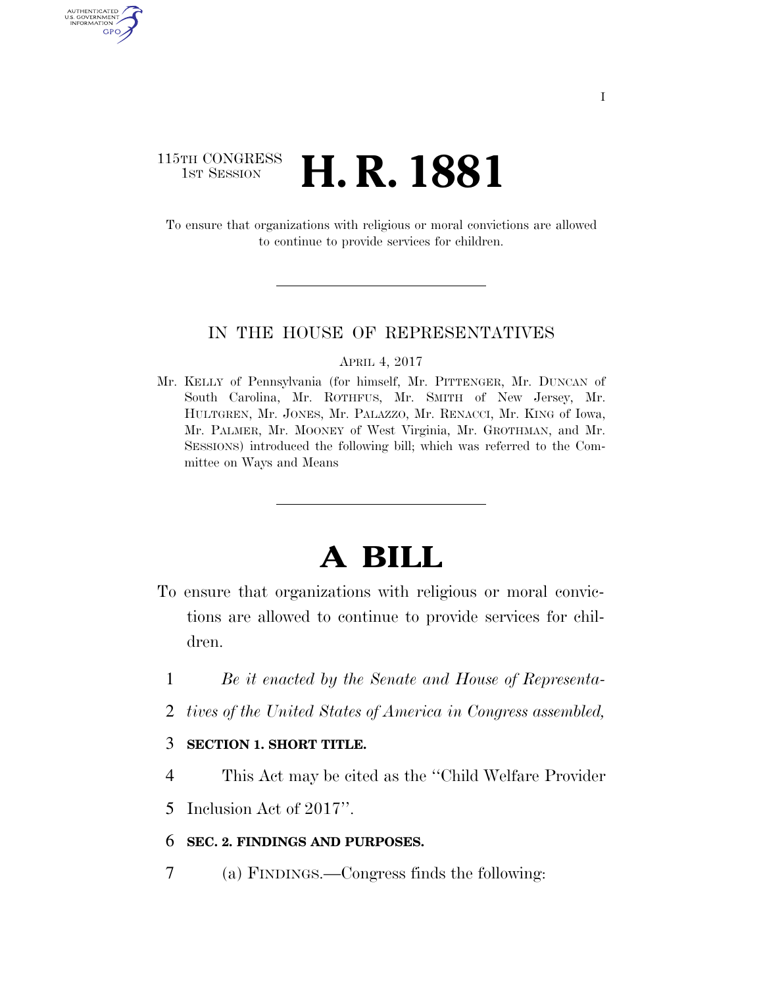### 115TH CONGRESS **1st Session H. R. 1881**

AUTHENTICATE U.S. GOVERNMENT GPO

> To ensure that organizations with religious or moral convictions are allowed to continue to provide services for children.

### IN THE HOUSE OF REPRESENTATIVES

#### APRIL 4, 2017

Mr. KELLY of Pennsylvania (for himself, Mr. PITTENGER, Mr. DUNCAN of South Carolina, Mr. ROTHFUS, Mr. SMITH of New Jersey, Mr. HULTGREN, Mr. JONES, Mr. PALAZZO, Mr. RENACCI, Mr. KING of Iowa, Mr. PALMER, Mr. MOONEY of West Virginia, Mr. GROTHMAN, and Mr. SESSIONS) introduced the following bill; which was referred to the Committee on Ways and Means

# **A BILL**

- To ensure that organizations with religious or moral convictions are allowed to continue to provide services for children.
	- 1 *Be it enacted by the Senate and House of Representa-*
	- 2 *tives of the United States of America in Congress assembled,*

### 3 **SECTION 1. SHORT TITLE.**

- 4 This Act may be cited as the ''Child Welfare Provider
- 5 Inclusion Act of 2017''.

### 6 **SEC. 2. FINDINGS AND PURPOSES.**

7 (a) FINDINGS.—Congress finds the following: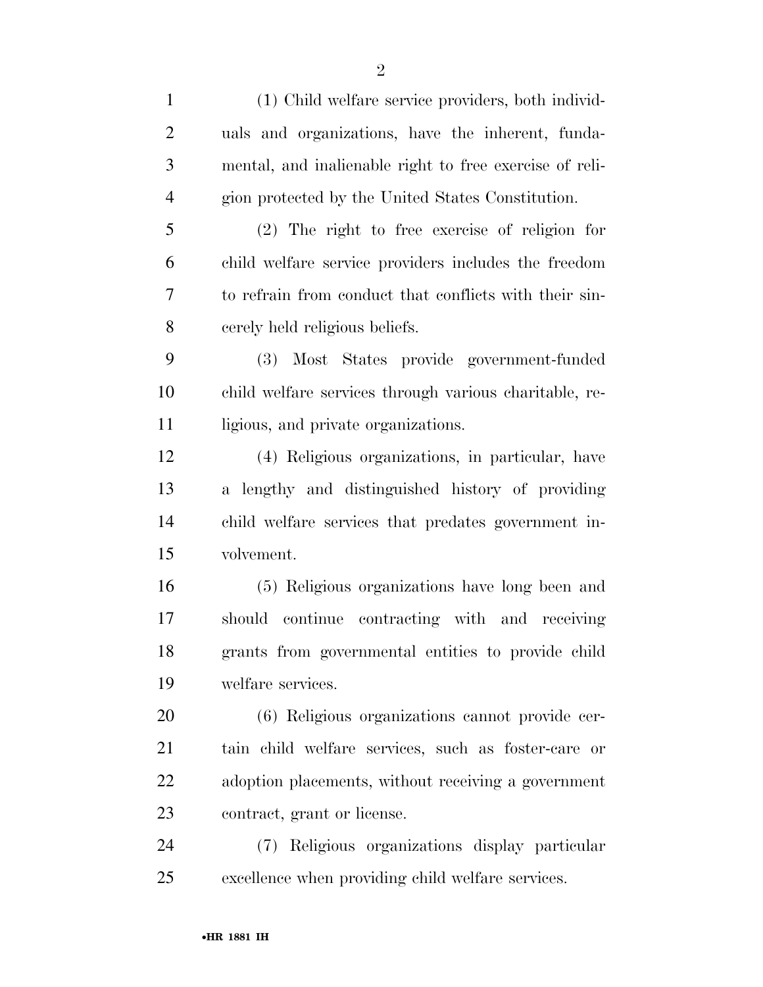| $\mathbf{1}$   | (1) Child welfare service providers, both individ-      |
|----------------|---------------------------------------------------------|
| $\overline{2}$ | uals and organizations, have the inherent, funda-       |
| 3              | mental, and inalienable right to free exercise of reli- |
| $\overline{4}$ | gion protected by the United States Constitution.       |
| 5              | $(2)$ The right to free exercise of religion for        |
| 6              | child welfare service providers includes the freedom    |
| 7              | to refrain from conduct that conflicts with their sin-  |
| 8              | cerely held religious beliefs.                          |
| 9              | Most States provide government-funded<br><b>(3)</b>     |
| 10             | child welfare services through various charitable, re-  |
| 11             | ligious, and private organizations.                     |
| 12             | (4) Religious organizations, in particular, have        |
| 13             | a lengthy and distinguished history of providing        |
| 14             | child welfare services that predates government in-     |
| 15             | volvement.                                              |
| 16             | (5) Religious organizations have long been and          |
| 17             | should continue contracting with and receiving          |
| 18             | grants from governmental entities to provide child      |
| 19             | welfare services.                                       |
| 20             | (6) Religious organizations cannot provide cer-         |
| 21             | tain child welfare services, such as foster-care or     |
| 22             | adoption placements, without receiving a government     |
| 23             | contract, grant or license.                             |
| 24             | (7) Religious organizations display particular          |
| 25             | excellence when providing child welfare services.       |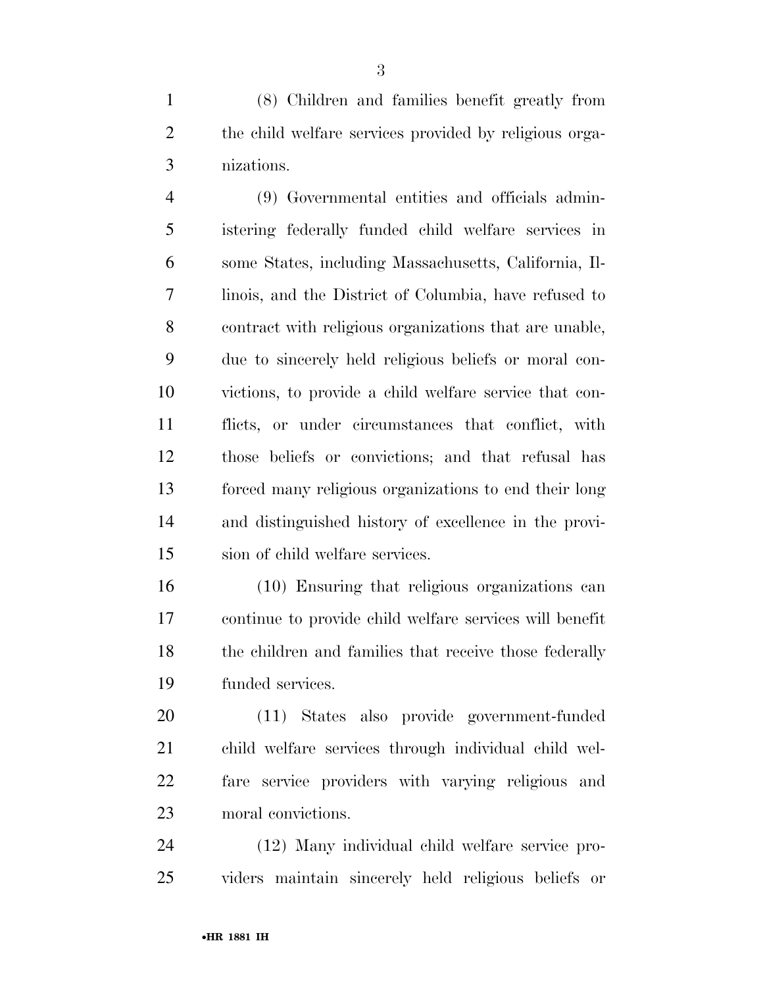(8) Children and families benefit greatly from the child welfare services provided by religious orga-nizations.

 (9) Governmental entities and officials admin- istering federally funded child welfare services in some States, including Massachusetts, California, Il- linois, and the District of Columbia, have refused to contract with religious organizations that are unable, due to sincerely held religious beliefs or moral con- victions, to provide a child welfare service that con- flicts, or under circumstances that conflict, with those beliefs or convictions; and that refusal has forced many religious organizations to end their long and distinguished history of excellence in the provi-sion of child welfare services.

 (10) Ensuring that religious organizations can continue to provide child welfare services will benefit 18 the children and families that receive those federally funded services.

 (11) States also provide government-funded child welfare services through individual child wel- fare service providers with varying religious and moral convictions.

 (12) Many individual child welfare service pro-viders maintain sincerely held religious beliefs or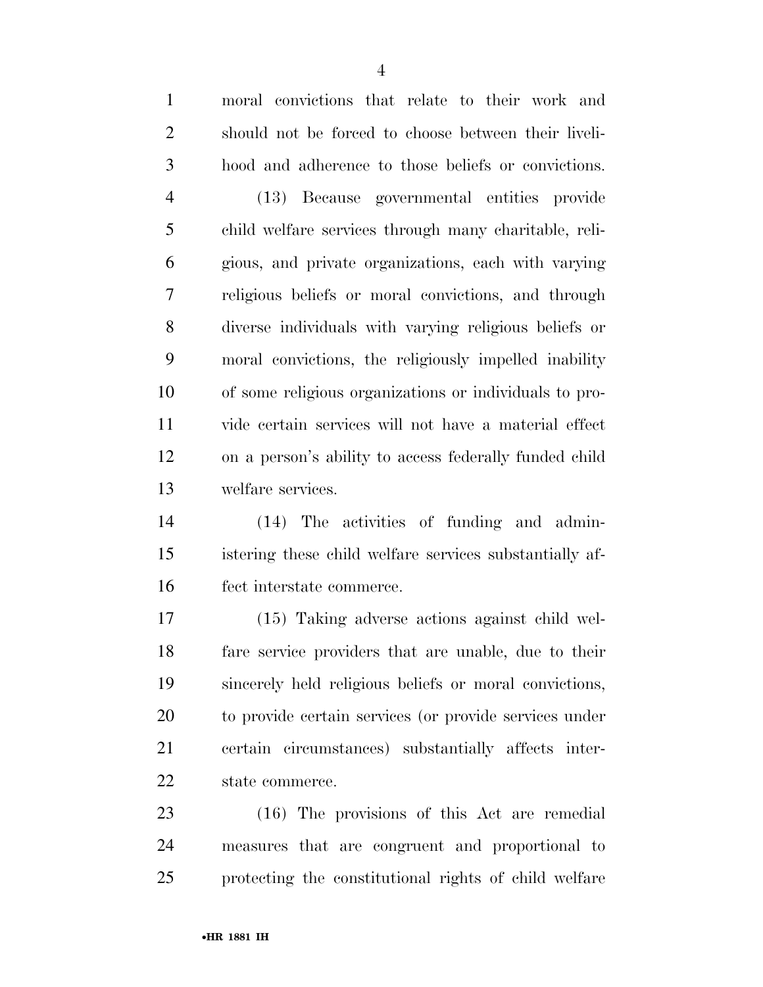moral convictions that relate to their work and should not be forced to choose between their liveli- hood and adherence to those beliefs or convictions. (13) Because governmental entities provide child welfare services through many charitable, reli- gious, and private organizations, each with varying religious beliefs or moral convictions, and through diverse individuals with varying religious beliefs or moral convictions, the religiously impelled inability of some religious organizations or individuals to pro-vide certain services will not have a material effect

 on a person's ability to access federally funded child welfare services.

 (14) The activities of funding and admin- istering these child welfare services substantially af-fect interstate commerce.

 (15) Taking adverse actions against child wel- fare service providers that are unable, due to their sincerely held religious beliefs or moral convictions, to provide certain services (or provide services under certain circumstances) substantially affects inter-state commerce.

 (16) The provisions of this Act are remedial measures that are congruent and proportional to protecting the constitutional rights of child welfare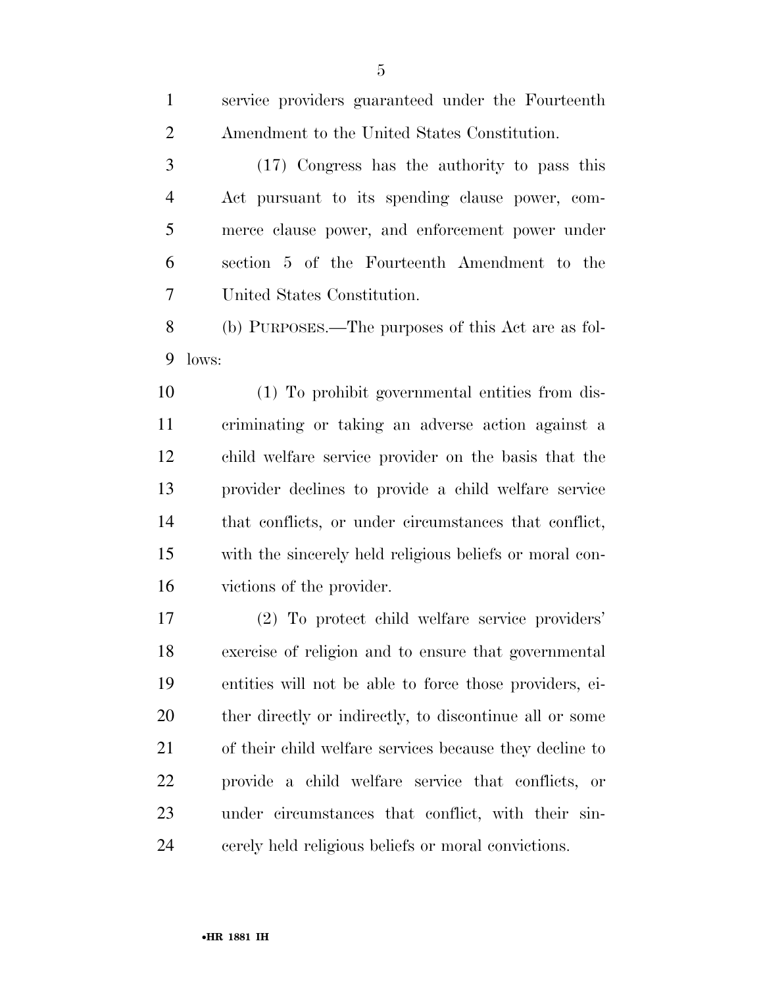service providers guaranteed under the Fourteenth

 Amendment to the United States Constitution. (17) Congress has the authority to pass this Act pursuant to its spending clause power, com- merce clause power, and enforcement power under section 5 of the Fourteenth Amendment to the United States Constitution. (b) PURPOSES.—The purposes of this Act are as fol- lows: (1) To prohibit governmental entities from dis- criminating or taking an adverse action against a child welfare service provider on the basis that the provider declines to provide a child welfare service that conflicts, or under circumstances that conflict, with the sincerely held religious beliefs or moral con- victions of the provider. (2) To protect child welfare service providers' exercise of religion and to ensure that governmental entities will not be able to force those providers, ei- ther directly or indirectly, to discontinue all or some of their child welfare services because they decline to

 provide a child welfare service that conflicts, or under circumstances that conflict, with their sin-cerely held religious beliefs or moral convictions.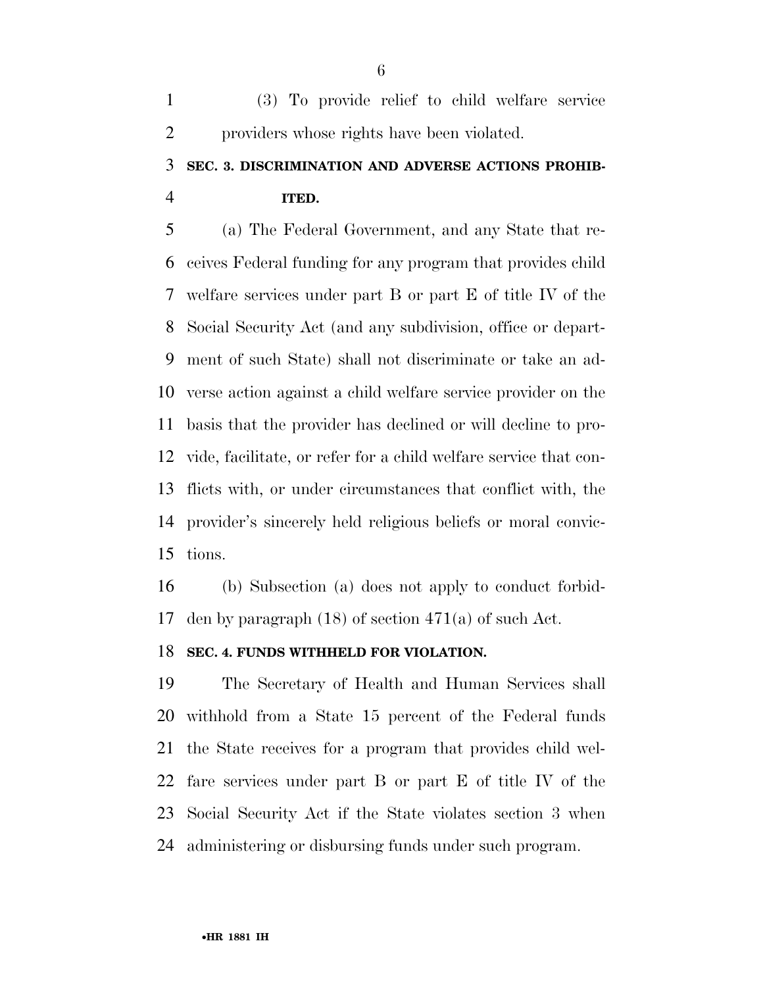(3) To provide relief to child welfare service providers whose rights have been violated.

## **SEC. 3. DISCRIMINATION AND ADVERSE ACTIONS PROHIB-ITED.**

 (a) The Federal Government, and any State that re- ceives Federal funding for any program that provides child welfare services under part B or part E of title IV of the Social Security Act (and any subdivision, office or depart- ment of such State) shall not discriminate or take an ad- verse action against a child welfare service provider on the basis that the provider has declined or will decline to pro- vide, facilitate, or refer for a child welfare service that con- flicts with, or under circumstances that conflict with, the provider's sincerely held religious beliefs or moral convic-tions.

 (b) Subsection (a) does not apply to conduct forbid-den by paragraph (18) of section 471(a) of such Act.

### **SEC. 4. FUNDS WITHHELD FOR VIOLATION.**

 The Secretary of Health and Human Services shall withhold from a State 15 percent of the Federal funds the State receives for a program that provides child wel- fare services under part B or part E of title IV of the Social Security Act if the State violates section 3 when administering or disbursing funds under such program.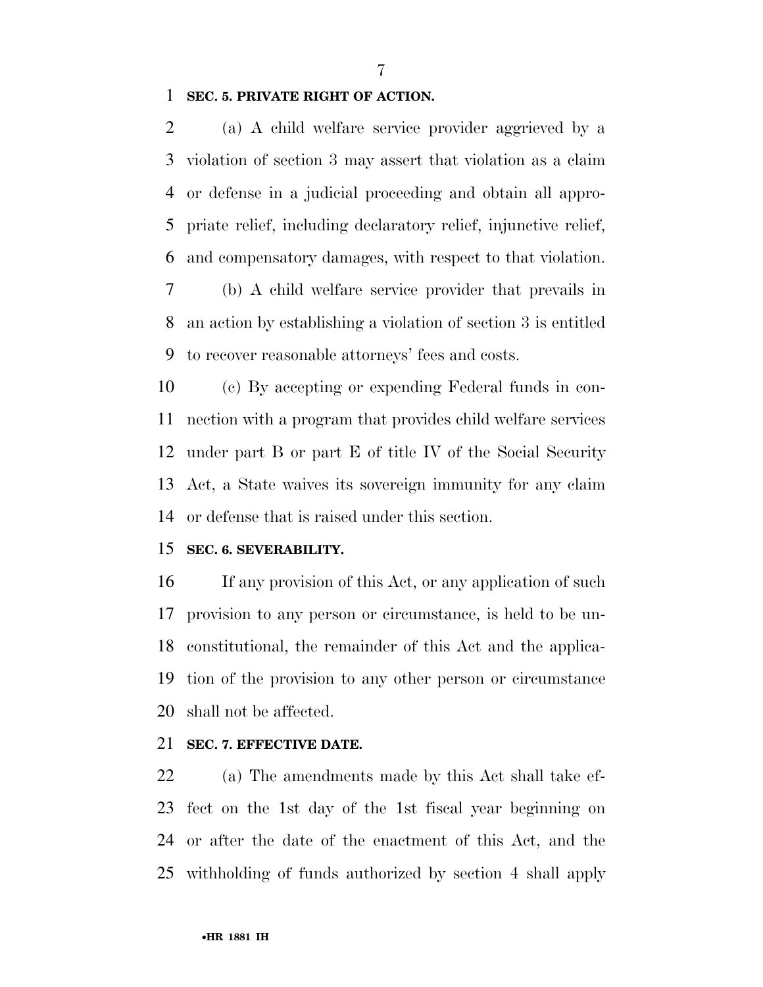**SEC. 5. PRIVATE RIGHT OF ACTION.** 

 (a) A child welfare service provider aggrieved by a violation of section 3 may assert that violation as a claim or defense in a judicial proceeding and obtain all appro- priate relief, including declaratory relief, injunctive relief, and compensatory damages, with respect to that violation.

 (b) A child welfare service provider that prevails in an action by establishing a violation of section 3 is entitled to recover reasonable attorneys' fees and costs.

 (c) By accepting or expending Federal funds in con- nection with a program that provides child welfare services under part B or part E of title IV of the Social Security Act, a State waives its sovereign immunity for any claim or defense that is raised under this section.

### **SEC. 6. SEVERABILITY.**

 If any provision of this Act, or any application of such provision to any person or circumstance, is held to be un- constitutional, the remainder of this Act and the applica- tion of the provision to any other person or circumstance shall not be affected.

### **SEC. 7. EFFECTIVE DATE.**

 (a) The amendments made by this Act shall take ef- fect on the 1st day of the 1st fiscal year beginning on or after the date of the enactment of this Act, and the withholding of funds authorized by section 4 shall apply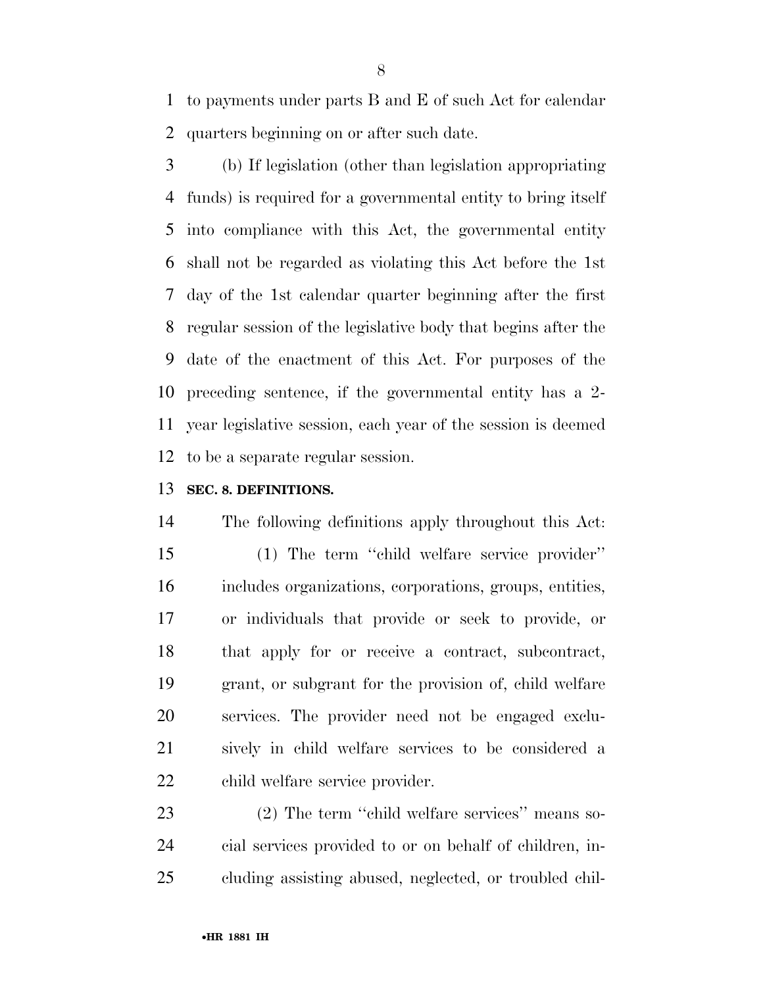to payments under parts B and E of such Act for calendar quarters beginning on or after such date.

 (b) If legislation (other than legislation appropriating funds) is required for a governmental entity to bring itself into compliance with this Act, the governmental entity shall not be regarded as violating this Act before the 1st day of the 1st calendar quarter beginning after the first regular session of the legislative body that begins after the date of the enactment of this Act. For purposes of the preceding sentence, if the governmental entity has a 2- year legislative session, each year of the session is deemed to be a separate regular session.

### **SEC. 8. DEFINITIONS.**

 The following definitions apply throughout this Act: (1) The term ''child welfare service provider'' includes organizations, corporations, groups, entities, or individuals that provide or seek to provide, or that apply for or receive a contract, subcontract, grant, or subgrant for the provision of, child welfare services. The provider need not be engaged exclu- sively in child welfare services to be considered a child welfare service provider.

 (2) The term ''child welfare services'' means so- cial services provided to or on behalf of children, in-cluding assisting abused, neglected, or troubled chil-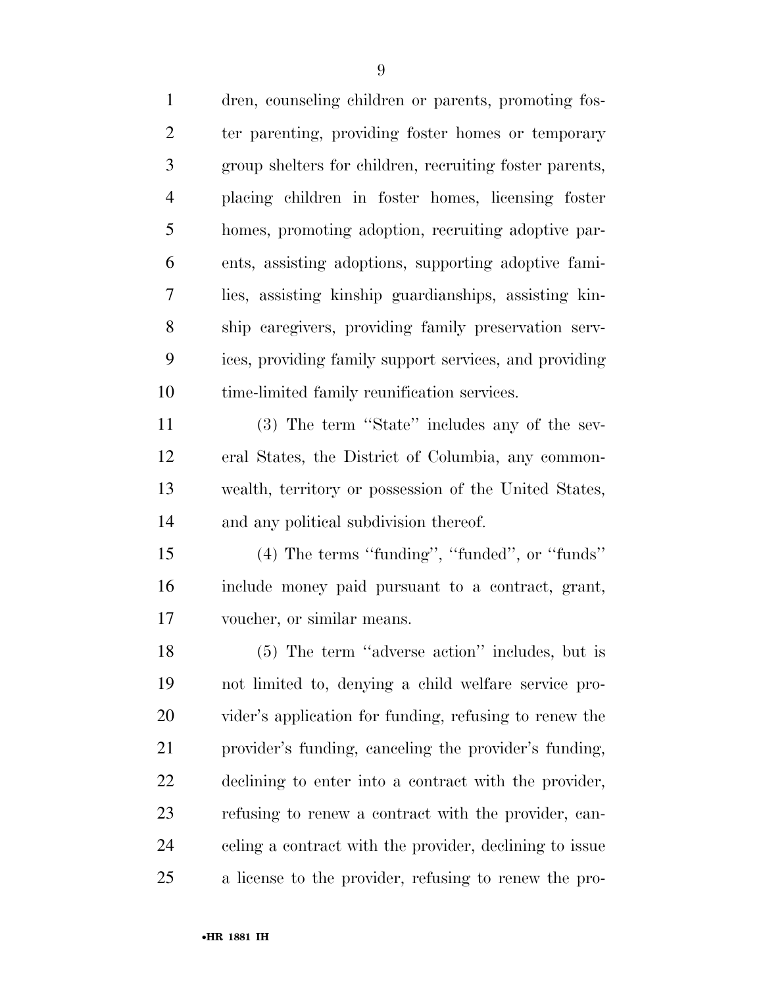| $\mathbf{1}$   | dren, counseling children or parents, promoting fos-    |
|----------------|---------------------------------------------------------|
| $\overline{2}$ | ter parenting, providing foster homes or temporary      |
| 3              | group shelters for children, recruiting foster parents, |
| $\overline{4}$ | placing children in foster homes, licensing foster      |
| 5              | homes, promoting adoption, recruiting adoptive par-     |
| 6              | ents, assisting adoptions, supporting adoptive fami-    |
| 7              | lies, assisting kinship guardianships, assisting kin-   |
| 8              | ship caregivers, providing family preservation serv-    |
| 9              | ices, providing family support services, and providing  |
| 10             | time-limited family reunification services.             |
| 11             | (3) The term "State" includes any of the sev-           |
| 12             | eral States, the District of Columbia, any common-      |
| 13             | wealth, territory or possession of the United States,   |
| 14             | and any political subdivision thereof.                  |
| 15             | $(4)$ The terms "funding", "funded", or "funds"         |
| 16             | include money paid pursuant to a contract, grant,       |
| 17             | voucher, or similar means.                              |
| 18             | (5) The term "adverse action" includes, but is          |
| 19             | not limited to, denying a child welfare service pro-    |
| 20             | vider's application for funding, refusing to renew the  |
| 21             | provider's funding, canceling the provider's funding,   |
| 22             | declining to enter into a contract with the provider,   |
| 23             | refusing to renew a contract with the provider, can-    |
| 24             | celing a contract with the provider, declining to issue |
| 25             | a license to the provider, refusing to renew the pro-   |